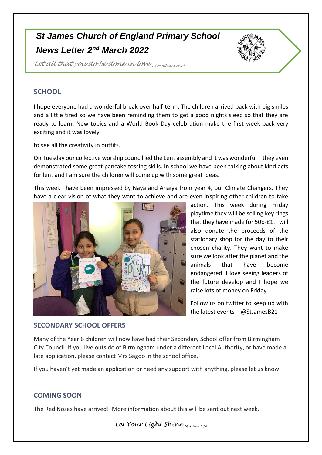## *St James Church of England Primary School News Letter 2 nd March 2022*



*Let all that you do be done in love 1 Corinthians 16:14*

## **SCHOOL**

I hope everyone had a wonderful break over half-term. The children arrived back with big smiles and a little tired so we have been reminding them to get a good nights sleep so that they are ready to learn. New topics and a World Book Day celebration make the first week back very exciting and it was lovely

to see all the creativity in outfits.

On Tuesday our collective worship council led the Lent assembly and it was wonderful – they even demonstrated some great pancake tossing skills. In school we have been talking about kind acts for lent and I am sure the children will come up with some great ideas.

This week I have been impressed by Naya and Anaiya from year 4, our Climate Changers. They have a clear vision of what they want to achieve and are even inspiring other children to take



action. This week during Friday playtime they will be selling key rings that they have made for 50p-£1. I will also donate the proceeds of the stationary shop for the day to their chosen charity. They want to make sure we look after the planet and the animals that have become endangered. I love seeing leaders of the future develop and I hope we raise lots of money on Friday.

Follow us on twitter to keep up with the latest events – @StJamesB21

## **SECONDARY SCHOOL OFFERS**

Many of the Year 6 children will now have had their Secondary School offer from Birmingham City Council. If you live outside of Birmingham under a different Local Authority, or have made a late application, please contact Mrs Sagoo in the school office.

If you haven't yet made an application or need any support with anything, please let us know.

## **COMING SOON**

The Red Noses have arrived! More information about this will be sent out next week.

*Let Your Light Shine Matthew 5:16*